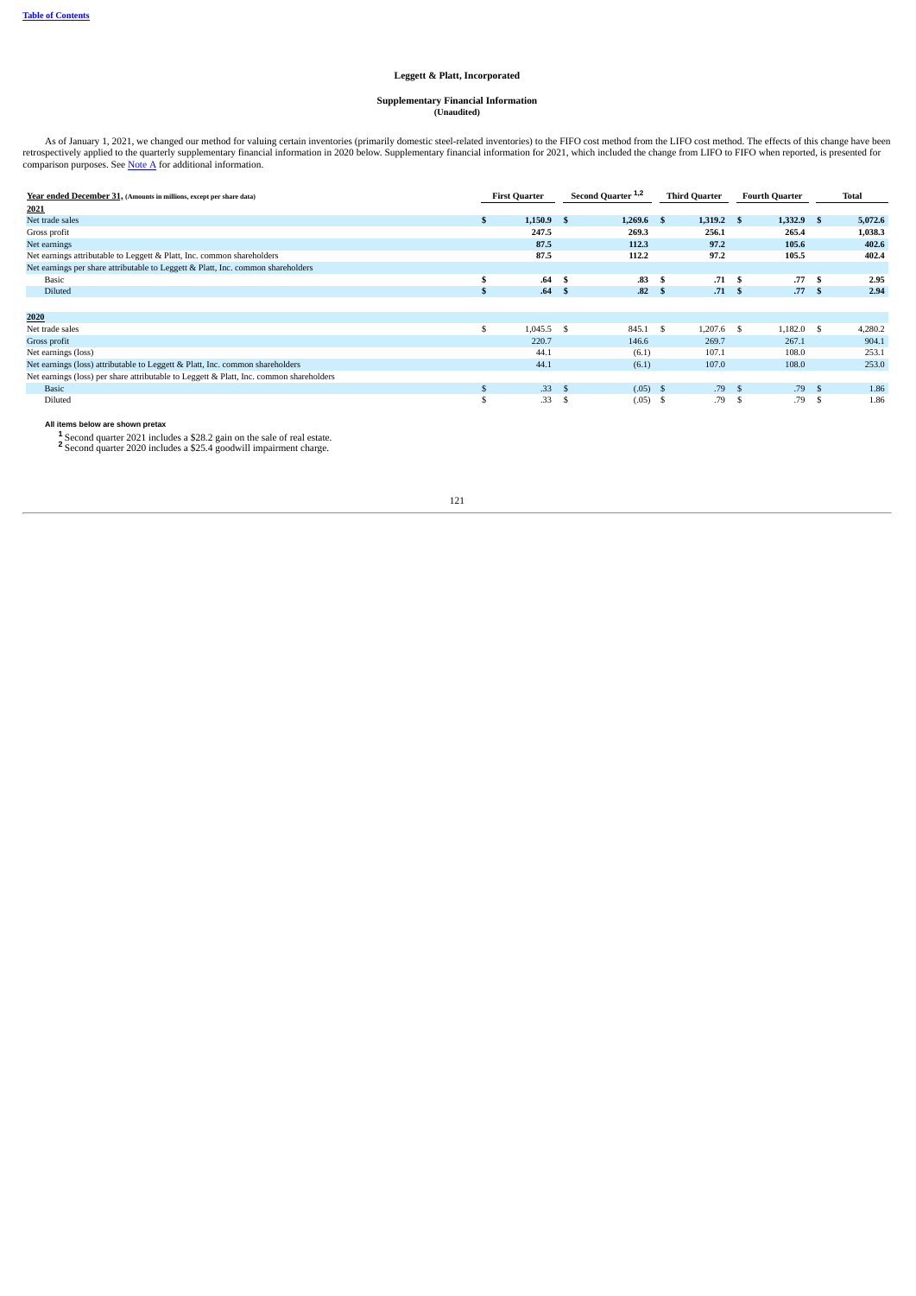## **Leggett & Platt, Incorporated**

## **Supplementary Financial Information (Unaudited)**

As of January 1, 2021, we changed our method for valuing certain inventories (primarily domestic steel-related inventories) to the FIFO cost method from the LIFO cost method. The effects of this change have been retrospect

| Year ended December 31, (Amounts in millions, except per share data)                    | <b>First Quarter</b> |                  |      | Second Quarter <sup>1,2</sup> |      | <b>Third Quarter</b> |      | <b>Fourth Quarter</b> |      | Total   |  |
|-----------------------------------------------------------------------------------------|----------------------|------------------|------|-------------------------------|------|----------------------|------|-----------------------|------|---------|--|
| 2021                                                                                    |                      |                  |      |                               |      |                      |      |                       |      |         |  |
| Net trade sales                                                                         | \$.                  | $1,150.9$ \$     |      | 1,269.6                       | - \$ | $1,319.2$ \$         |      | $1,332.9$ \$          |      | 5,072.6 |  |
| Gross profit                                                                            |                      | 247.5            |      | 269.3                         |      | 256.1                |      | 265.4                 |      | 1,038.3 |  |
| Net earnings                                                                            |                      | 87.5             |      | 112.3                         |      | 97.2                 |      | 105.6                 |      | 402.6   |  |
| Net earnings attributable to Leggett & Platt, Inc. common shareholders                  |                      | 87.5             |      | 112.2                         |      | 97.2                 |      | 105.5                 |      | 402.4   |  |
| Net earnings per share attributable to Leggett & Platt, Inc. common shareholders        |                      |                  |      |                               |      |                      |      |                       |      |         |  |
| Basic                                                                                   | S.                   | .64 <sub>5</sub> |      | .83                           | -S   | .71S                 |      | .77S                  |      | 2.95    |  |
| <b>Diluted</b>                                                                          | ÷.                   | .64 <sub>5</sub> |      | .82                           | - \$ | .71S                 |      | .77S                  |      | 2.94    |  |
|                                                                                         |                      |                  |      |                               |      |                      |      |                       |      |         |  |
| 2020                                                                                    |                      |                  |      |                               |      |                      |      |                       |      |         |  |
| Net trade sales                                                                         | \$                   | $1,045.5$ \$     |      | 845.1 \$                      |      | $1,207.6$ \$         |      | $1,182.0$ \$          |      | 4,280.2 |  |
| Gross profit                                                                            |                      | 220.7            |      | 146.6                         |      | 269.7                |      | 267.1                 |      | 904.1   |  |
| Net earnings (loss)                                                                     |                      | 44.1             |      | (6.1)                         |      | 107.1                |      | 108.0                 |      | 253.1   |  |
| Net earnings (loss) attributable to Leggett & Platt, Inc. common shareholders           |                      | 44.1             |      | (6.1)                         |      | 107.0                |      | 108.0                 |      | 253.0   |  |
| Net earnings (loss) per share attributable to Leggett & Platt, Inc. common shareholders |                      |                  |      |                               |      |                      |      |                       |      |         |  |
| <b>Basic</b>                                                                            | $\mathbf{s}$         | .33S             |      | (.05)                         | - \$ | .79S                 |      | .79S                  |      | 1.86    |  |
| Diluted                                                                                 | $\mathbf{\hat{S}}$   | .33              | - \$ | (.05)                         | -S   | .79                  | - \$ | .79                   | - \$ | 1.86    |  |

Second quarter 2021 includes a \$28.2 gain on the sale of real estate. Second quarter 2020 includes a \$25.4 goodwill impairment charge. **All items below are shown pretax 1 2**